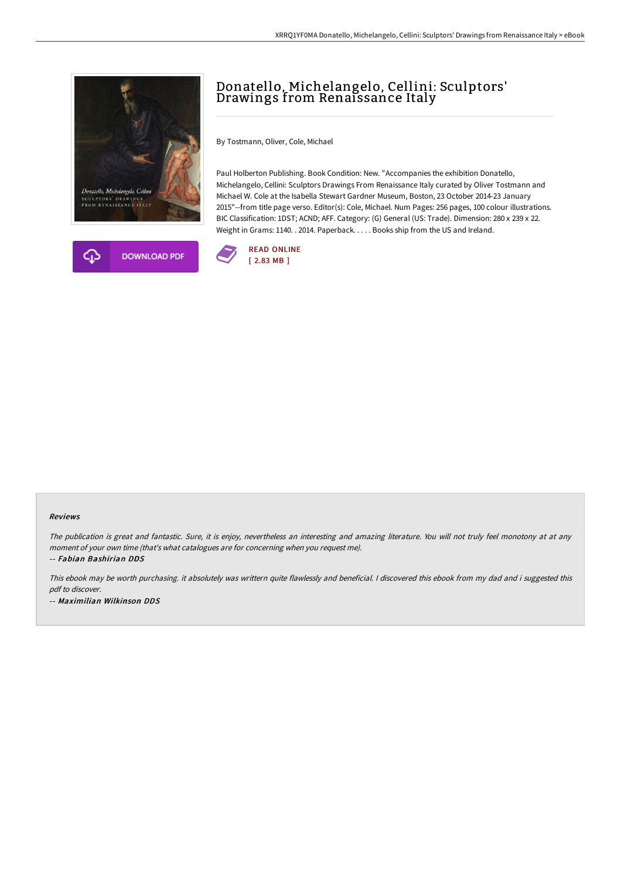



# Donatello, Michelangelo, Cellini: Sculptors' Drawings from Renaissance Italy

By Tostmann, Oliver, Cole, Michael

Paul Holberton Publishing. Book Condition: New. "Accompanies the exhibition Donatello, Michelangelo, Cellini: Sculptors Drawings From Renaissance Italy curated by Oliver Tostmann and Michael W. Cole at the Isabella Stewart Gardner Museum, Boston, 23 October 2014-23 January 2015"--from title page verso. Editor(s): Cole, Michael. Num Pages: 256 pages, 100 colour illustrations. BIC Classification: 1DST; ACND; AFF. Category: (G) General (US: Trade). Dimension: 280 x 239 x 22. Weight in Grams: 1140. . 2014. Paperback. . . . . Books ship from the US and Ireland.



#### Reviews

The publication is great and fantastic. Sure, it is enjoy, nevertheless an interesting and amazing literature. You will not truly feel monotony at at any moment of your own time (that's what catalogues are for concerning when you request me).

-- Fabian Bashirian DDS

This ebook may be worth purchasing. it absolutely was writtern quite flawlessly and beneficial. <sup>I</sup> discovered this ebook from my dad and i suggested this pdf to discover. -- Maximilian Wilkinson DDS